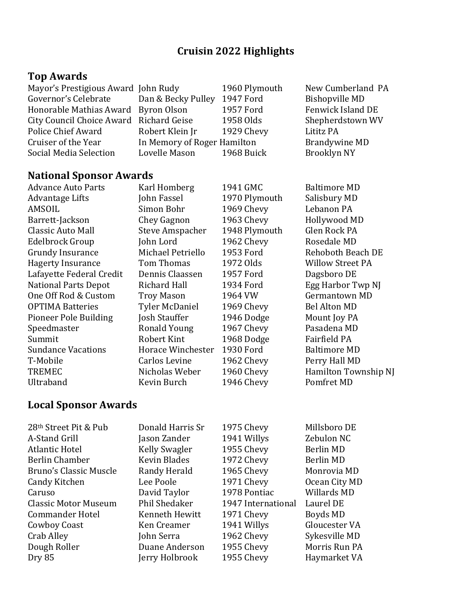# **Cruisin 2022 Highlights**

### **Top Awards**

| Mayor's Prestigious Award John Rudy |                             | 1960 Plymouth | New Cumberland PA        |
|-------------------------------------|-----------------------------|---------------|--------------------------|
| Governor's Celebrate                | Dan & Becky Pulley          | 1947 Ford     | <b>Bishopville MD</b>    |
| Honorable Mathias Award             | <b>Byron Olson</b>          | 1957 Ford     | Fenwick Island DE        |
| <b>City Council Choice Award</b>    | <b>Richard Geise</b>        | 1958 Olds     | Shepherdstown WV         |
| <b>Police Chief Award</b>           | Robert Klein Jr             | 1929 Chevy    | Lititz PA                |
| Cruiser of the Year                 | In Memory of Roger Hamilton |               | <b>Brandywine MD</b>     |
| Social Media Selection              | Lovelle Mason               | 1968 Buick    | <b>Brooklyn NY</b>       |
| <b>National Sponsor Awards</b>      |                             |               |                          |
| <b>Advance Auto Parts</b>           | Karl Homberg                | 1941 GMC      | <b>Baltimore MD</b>      |
| Advantage Lifts                     | John Fassel                 | 1970 Plymouth | Salisbury MD             |
| AMSOIL                              | Simon Bohr                  | 1969 Chevy    | Lebanon PA               |
| Barrett-Jackson                     | Chey Gagnon                 | 1963 Chevy    | Hollywood MD             |
| <b>Classic Auto Mall</b>            | <b>Steve Amspacher</b>      | 1948 Plymouth | Glen Rock PA             |
| Edelbrock Group                     | John Lord                   | 1962 Chevy    | Rosedale MD              |
| Grundy Insurance                    | Michael Petriello           | 1953 Ford     | <b>Rehoboth Beach DE</b> |
| <b>Hagerty Insurance</b>            | <b>Tom Thomas</b>           | 1972 Olds     | <b>Willow Street PA</b>  |
| Lafayette Federal Credit            | Dennis Claassen             | 1957 Ford     | Dagsboro DE              |
| <b>National Parts Depot</b>         | Richard Hall                | 1934 Ford     | Egg Harbor Twp NJ        |
| One Off Rod & Custom                | <b>Troy Mason</b>           | 1964 VW       | Germantown MD            |
| <b>OPTIMA Batteries</b>             | <b>Tyler McDaniel</b>       | 1969 Chevy    | <b>Bel Alton MD</b>      |
| <b>Pioneer Pole Building</b>        | Josh Stauffer               | 1946 Dodge    | Mount Joy PA             |
| Speedmaster                         | Ronald Young                | 1967 Chevy    | Pasadena MD              |
| Summit                              | Robert Kint                 | 1968 Dodge    | <b>Fairfield PA</b>      |
| <b>Sundance Vacations</b>           | Horace Winchester           | 1930 Ford     | <b>Baltimore MD</b>      |
| T-Mobile                            | Carlos Levine               | 1962 Chevy    | Perry Hall MD            |
| <b>TREMEC</b>                       | Nicholas Weber              | 1960 Chevy    | Hamilton Township NJ     |
| Ultraband                           | Kevin Burch                 | 1946 Chevy    | Pomfret MD               |

# **Local Sponsor Awards**

| 28 <sup>th</sup> Street Pit & Pub | Donald Harris Sr    | 1975 Chevy         | Millsboro DE  |
|-----------------------------------|---------------------|--------------------|---------------|
| A-Stand Grill                     | Jason Zander        | 1941 Willys        | Zebulon NC    |
| Atlantic Hotel                    | Kelly Swagler       | 1955 Chevy         | Berlin MD     |
| <b>Berlin Chamber</b>             | <b>Kevin Blades</b> | 1972 Chevy         | Berlin MD     |
| <b>Bruno's Classic Muscle</b>     | Randy Herald        | 1965 Chevy         | Monrovia MD   |
| Candy Kitchen                     | Lee Poole           | 1971 Chevy         | Ocean City MD |
| Caruso                            | David Taylor        | 1978 Pontiac       | Willards MD   |
| Classic Motor Museum              | Phil Shedaker       | 1947 International | Laurel DE     |
| <b>Commander Hotel</b>            | Kenneth Hewitt      | 1971 Chevy         | Boyds MD      |
| Cowboy Coast                      | Ken Creamer         | 1941 Willys        | Gloucester VA |
| Crab Alley                        | John Serra          | 1962 Chevy         | Sykesville MD |
| Dough Roller                      | Duane Anderson      | 1955 Chevy         | Morris Run PA |
| Dry 85                            | Jerry Holbrook      | 1955 Chevy         | Haymarket VA  |
|                                   |                     |                    |               |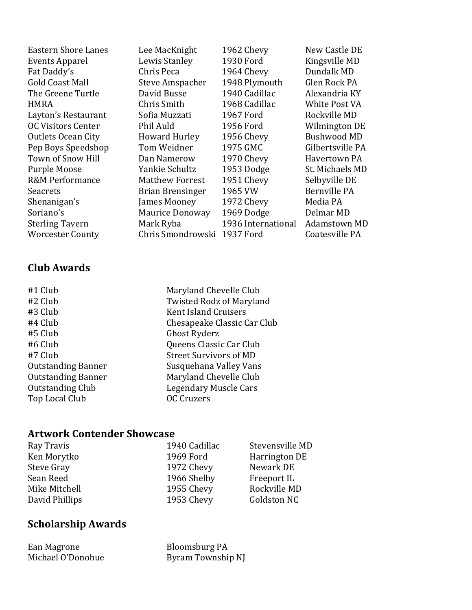Eastern Shore Lanes Lee MacKnight 1962 Chevy New Castle DE Events Apparel Lewis Stanley 1930 Ford Kingsville MD Fat Daddy's Chris Peca 1964 Chevy Dundalk MD Gold Coast Mall Steve Amspacher 1948 Plymouth Glen Rock PA The Greene Turtle David Busse 1940 Cadillac Alexandria KY HMRA Chris Smith 1968 Cadillac White Post VA Layton's Restaurant Sofia Muzzati 1967 Ford Rockville MD OC Visitors Center Phil Auld 1956 Ford Wilmington DE Outlets Ocean City **Howard Hurley** 1956 Chevy Bushwood MD Pep Boys Speedshop Tom Weidner 1975 GMC Gilbertsville PA Town of Snow Hill **Dan Namerow** 1970 Chevy **Havertown PA** Purple Moose Yankie Schultz 1953 Dodge St. Michaels MD R&M Performance Matthew Forrest 1951 Chevy Selbyville DE Seacrets **Brian Brensinger** 1965 VW Bernville PA Shenanigan's James Mooney 1972 Chevy Media PA Soriano's Maurice Donoway 1969 Dodge Delmar MD Sterling Tavern Mark Ryba 1936 International Adamstown MD Worcester County Chris Smondrowski 1937 Ford Coatesville PA

### **Club Awards**

| #1 Club                   |
|---------------------------|
| #2 Club                   |
| #3 Club                   |
| #4 Club                   |
| #5 Club                   |
| #6 Club                   |
| #7 Club                   |
| <b>Outstanding Banner</b> |
| <b>Outstanding Banner</b> |
| <b>Outstanding Club</b>   |
| Top Local Club            |

Maryland Chevelle Club Twisted Rodz of Maryland Kent Island Cruisers Chesapeake Classic Car Club Ghost Ryderz **Oueens Classic Car Club** Street Survivors of MD Susquehana Valley Vans Maryland Chevelle Club Legendary Muscle Cars OC Cruzers

#### **Artwork Contender Showcase**

| Ray Travis     | 1940 Cadillac | Stevensville MD |
|----------------|---------------|-----------------|
| Ken Morytko    | 1969 Ford     | Harrington DE   |
| Steve Gray     | 1972 Chevy    | Newark DE       |
| Sean Reed      | 1966 Shelby   | Freeport IL     |
| Mike Mitchell  | 1955 Chevy    | Rockville MD    |
| David Phillips | 1953 Chevy    | Goldston NC     |

### **Scholarship Awards**

Ean Magrone Bloomsburg PA Michael O'Donohue Byram Township NJ